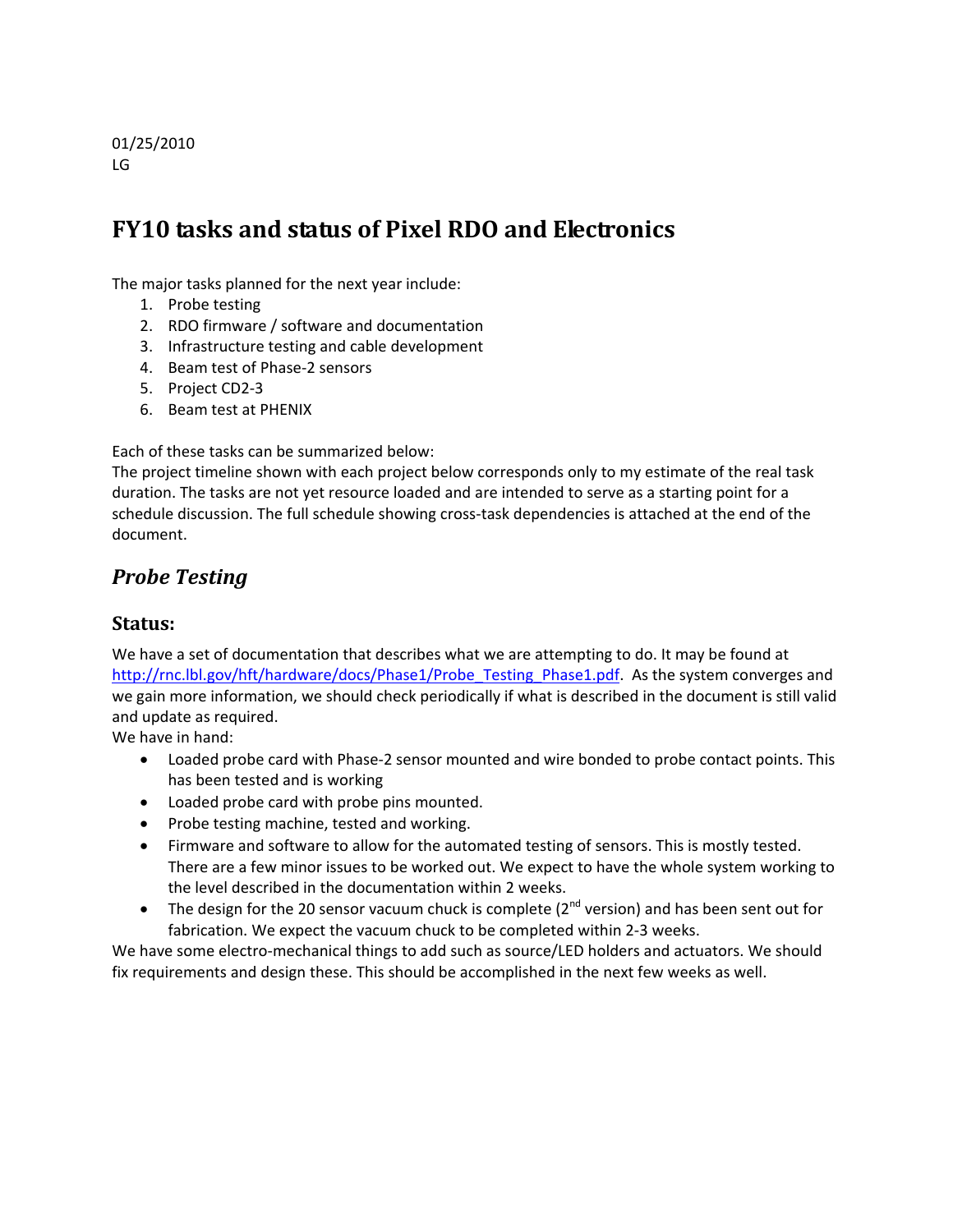#### 01/25/2010 LG

# **FY10 tasks and status of Pixel RDO and Electronics**

The major tasks planned for the next year include:

- 1. Probe testing
- 2. RDO firmware / software and documentation
- 3. Infrastructure testing and cable development
- 4. Beam test of Phase‐2 sensors
- 5. Project CD2‐3
- 6. Beam test at PHENIX

Each of these tasks can be summarized below:

The project timeline shown with each project below corresponds only to my estimate of the real task duration. The tasks are not yet resource loaded and are intended to serve as a starting point for a schedule discussion. The full schedule showing cross-task dependencies is attached at the end of the document.

## *Probe Testing*

#### **Status:**

We have a set of documentation that describes what we are attempting to do. It may be found at http://rnc.lbl.gov/hft/hardware/docs/Phase1/Probe\_Testing\_Phase1.pdf. As the system converges and we gain more information, we should check periodically if what is described in the document is still valid and update as required.

We have in hand:

- Loaded probe card with Phase-2 sensor mounted and wire bonded to probe contact points. This has been tested and is working
- Loaded probe card with probe pins mounted.
- Probe testing machine, tested and working.
- Firmware and software to allow for the automated testing of sensors. This is mostly tested. There are a few minor issues to be worked out. We expect to have the whole system working to the level described in the documentation within 2 weeks.
- The design for the 20 sensor vacuum chuck is complete ( $2<sup>nd</sup>$  version) and has been sent out for fabrication. We expect the vacuum chuck to be completed within 2‐3 weeks.

We have some electro-mechanical things to add such as source/LED holders and actuators. We should fix requirements and design these. This should be accomplished in the next few weeks as well.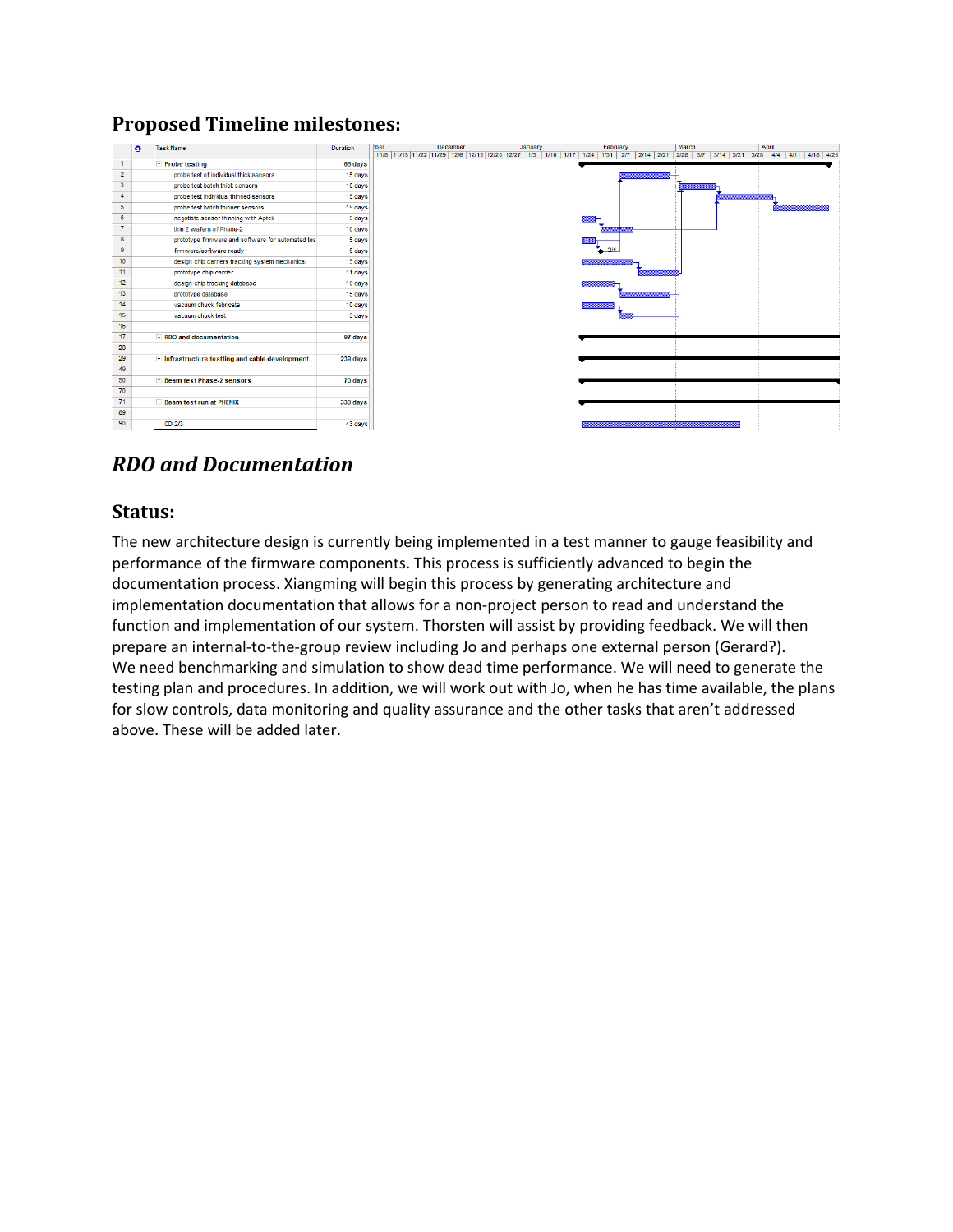### **Proposed Timeline milestones:**

|                 | $\bullet$ | <b>Task Name</b>                                        | Duration | hber | December                                                                                                                       | January |  | February | March | April |  |
|-----------------|-----------|---------------------------------------------------------|----------|------|--------------------------------------------------------------------------------------------------------------------------------|---------|--|----------|-------|-------|--|
|                 |           |                                                         |          |      | 11/8 11/15 11/22 11/29 12/8 12/13 12/20 12/27 1/3 1/10 1/17 1/24 1/31 2/7 2/14 2/21 2/28 3/7 3/14 3/21 3/28 4/4 4/11 4/18 4/25 |         |  |          |       |       |  |
| $\mathbf{1}$    |           | $E$ Probe testing                                       | 66 days  |      |                                                                                                                                |         |  |          |       |       |  |
| $\overline{2}$  |           | probe test of individual thick sensors                  | 15 days  |      |                                                                                                                                |         |  |          |       |       |  |
| $\mathbf{3}$    |           | probe test batch thick sensors                          | 10 days  |      |                                                                                                                                |         |  |          |       |       |  |
| $\overline{4}$  |           | probe test individual thinned sensors                   | 15 days  |      |                                                                                                                                |         |  |          |       |       |  |
| 5               |           | probe test batch thinner sensors                        | 15 days  |      |                                                                                                                                |         |  |          |       |       |  |
| 6               |           | negotiate sensor thinning with Aptek                    | 5 days   |      |                                                                                                                                |         |  |          |       |       |  |
| $\overline{7}$  |           | thin 2 wafers of Phase-2                                | 10 days  |      |                                                                                                                                |         |  |          |       |       |  |
| 8               |           | prototype firmware and software for automated tes       | 5 days   |      |                                                                                                                                |         |  |          |       |       |  |
| 9               |           | firmware/software ready                                 | 5 days   |      |                                                                                                                                |         |  | 214      |       |       |  |
| 10 <sup>°</sup> |           | design chip carriers tracking system mechanical         | 15 days  |      |                                                                                                                                |         |  |          |       |       |  |
| 11              |           | prototype chip carrier                                  | 11 days  |      |                                                                                                                                |         |  |          |       |       |  |
| 12              |           | design chip tracking database                           | 10 days  |      |                                                                                                                                |         |  |          |       |       |  |
| 13              |           | prototype database                                      | 15 days  |      |                                                                                                                                |         |  |          |       |       |  |
| 14              |           | vacuum chuck fabricate                                  | 10 days  |      |                                                                                                                                |         |  |          |       |       |  |
| 15              |           | vacuum chuck test                                       | 5 days   |      |                                                                                                                                |         |  |          |       |       |  |
| 16              |           |                                                         |          |      |                                                                                                                                |         |  |          |       |       |  |
| 17              |           | + RDO and documentation                                 | 97 days  |      |                                                                                                                                |         |  |          |       |       |  |
| 28              |           |                                                         |          |      |                                                                                                                                |         |  |          |       |       |  |
| 29              |           | <b>If Infrastructure testting and cable development</b> | 239 days |      |                                                                                                                                |         |  |          |       |       |  |
| 49              |           |                                                         |          |      |                                                                                                                                |         |  |          |       |       |  |
| 50              |           | + Beam test Phase-2 sensors                             | 70 days  |      |                                                                                                                                |         |  |          |       |       |  |
| 70              |           |                                                         |          |      |                                                                                                                                |         |  |          |       |       |  |
| 71              |           | + Beam test run at PHENIX                               | 330 days |      |                                                                                                                                |         |  |          |       |       |  |
| 89              |           |                                                         |          |      |                                                                                                                                |         |  |          |       |       |  |
| 90              |           | $CD-2/3$                                                | 43 days  |      |                                                                                                                                |         |  |          |       |       |  |

# *RDO and Documentation*

#### **Status:**

The new architecture design is currently being implemented in a test manner to gauge feasibility and performance of the firmware components. This process is sufficiently advanced to begin the documentation process. Xiangming will begin this process by generating architecture and implementation documentation that allows for a non-project person to read and understand the function and implementation of our system. Thorsten will assist by providing feedback. We will then prepare an internal-to-the-group review including Jo and perhaps one external person (Gerard?). We need benchmarking and simulation to show dead time performance. We will need to generate the testing plan and procedures. In addition, we will work out with Jo, when he has time available, the plans for slow controls, data monitoring and quality assurance and the other tasks that aren't addressed above. These will be added later.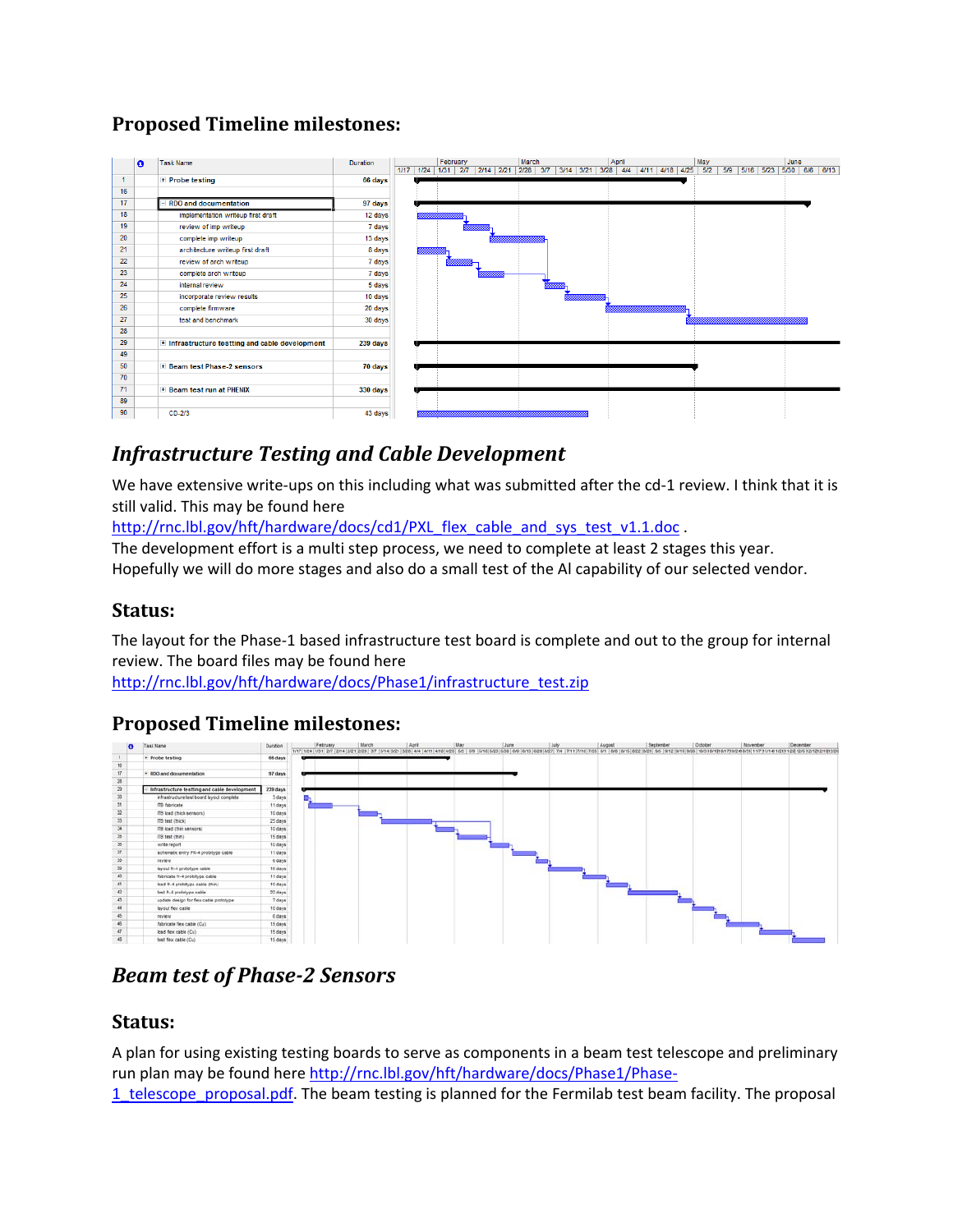# **Proposed Timeline milestones:**

|                | n | <b>Task Name</b>                                | <b>Duration</b> |  | February |                              | March |  | April |                                                                            | May |  | June |  |
|----------------|---|-------------------------------------------------|-----------------|--|----------|------------------------------|-------|--|-------|----------------------------------------------------------------------------|-----|--|------|--|
| $\overline{1}$ |   | $\pm$ Probe testing                             | 66 days         |  |          | 1/17 1/24 1/31 2/7 2/14 2/21 |       |  |       | 2/28 3/7 3/14 3/21 3/28 4/4 4/11 4/18 4/25 5/2 5/9 5/16 5/23 5/30 6/6 6/13 |     |  |      |  |
| 16             |   |                                                 |                 |  |          |                              |       |  |       |                                                                            |     |  |      |  |
| 17             |   | - RDO and documentation                         | 97 days         |  |          |                              |       |  |       |                                                                            |     |  |      |  |
| 18             |   | implementation writeup first draft              | 12 days         |  |          |                              |       |  |       |                                                                            |     |  |      |  |
| 19             |   | review of imp writeup                           | 7 days          |  |          |                              |       |  |       |                                                                            |     |  |      |  |
| 20             |   | complete imp writeup                            | 13 days         |  |          |                              |       |  |       |                                                                            |     |  |      |  |
| 21             |   | architecture writeup first draft                | 8 days          |  |          |                              |       |  |       |                                                                            |     |  |      |  |
| 22             |   | review of arch writeup                          | 7 days          |  |          |                              |       |  |       |                                                                            |     |  |      |  |
| 23             |   | complete arch writeup                           | 7 days          |  |          |                              |       |  |       |                                                                            |     |  |      |  |
| 24             |   | internal review                                 | 5 days          |  |          |                              |       |  |       |                                                                            |     |  |      |  |
| 25             |   | incorporate review results                      | 10 days         |  |          |                              |       |  |       |                                                                            |     |  |      |  |
| 26             |   |                                                 |                 |  |          |                              |       |  |       |                                                                            |     |  |      |  |
| 27             |   | complete firmware                               | 20 days         |  |          |                              |       |  |       |                                                                            |     |  |      |  |
| 28             |   | test and benchmark                              | 30 days         |  |          |                              |       |  |       |                                                                            |     |  |      |  |
| 29             |   |                                                 |                 |  |          |                              |       |  |       |                                                                            |     |  |      |  |
| 49             |   | + Infrastructure testting and cable development | 239 days        |  |          |                              |       |  |       |                                                                            |     |  |      |  |
|                |   |                                                 |                 |  |          |                              |       |  |       |                                                                            |     |  |      |  |
| 50             |   | + Beam test Phase-2 sensors                     | 70 days         |  |          |                              |       |  |       |                                                                            |     |  |      |  |
| 70             |   |                                                 |                 |  |          |                              |       |  |       |                                                                            |     |  |      |  |
| 71             |   | + Beam test run at PHENIX                       | 330 days        |  |          |                              |       |  |       |                                                                            |     |  |      |  |
| 89             |   |                                                 |                 |  |          |                              |       |  |       |                                                                            |     |  |      |  |
| 90             |   | $CD-2/3$                                        | 43 days         |  |          |                              |       |  |       |                                                                            |     |  |      |  |

# *Infrastructure Testing and Cable Development*

We have extensive write-ups on this including what was submitted after the cd-1 review. I think that it is still valid. This may be found here

http://rnc.lbl.gov/hft/hardware/docs/cd1/PXL\_flex\_cable\_and\_sys\_test\_v1.1.doc.

The development effort is a multi step process, we need to complete at least 2 stages this year. Hopefully we will do more stages and also do a small test of the Al capability of our selected vendor.

### **Status:**

The layout for the Phase‐1 based infrastructure test board is complete and out to the group for internal review. The board files may be found here

http://rnc.lbl.gov/hft/hardware/docs/Phase1/infrastructure\_test.zip

#### **Proposed Timeline milestones:**



# *Beam test of Phase‐2 Sensors*

### **Status:**

A plan for using existing testing boards to serve as components in a beam test telescope and preliminary run plan may be found here http://rnc.lbl.gov/hft/hardware/docs/Phase1/Phase-

1\_telescope\_proposal.pdf. The beam testing is planned for the Fermilab test beam facility. The proposal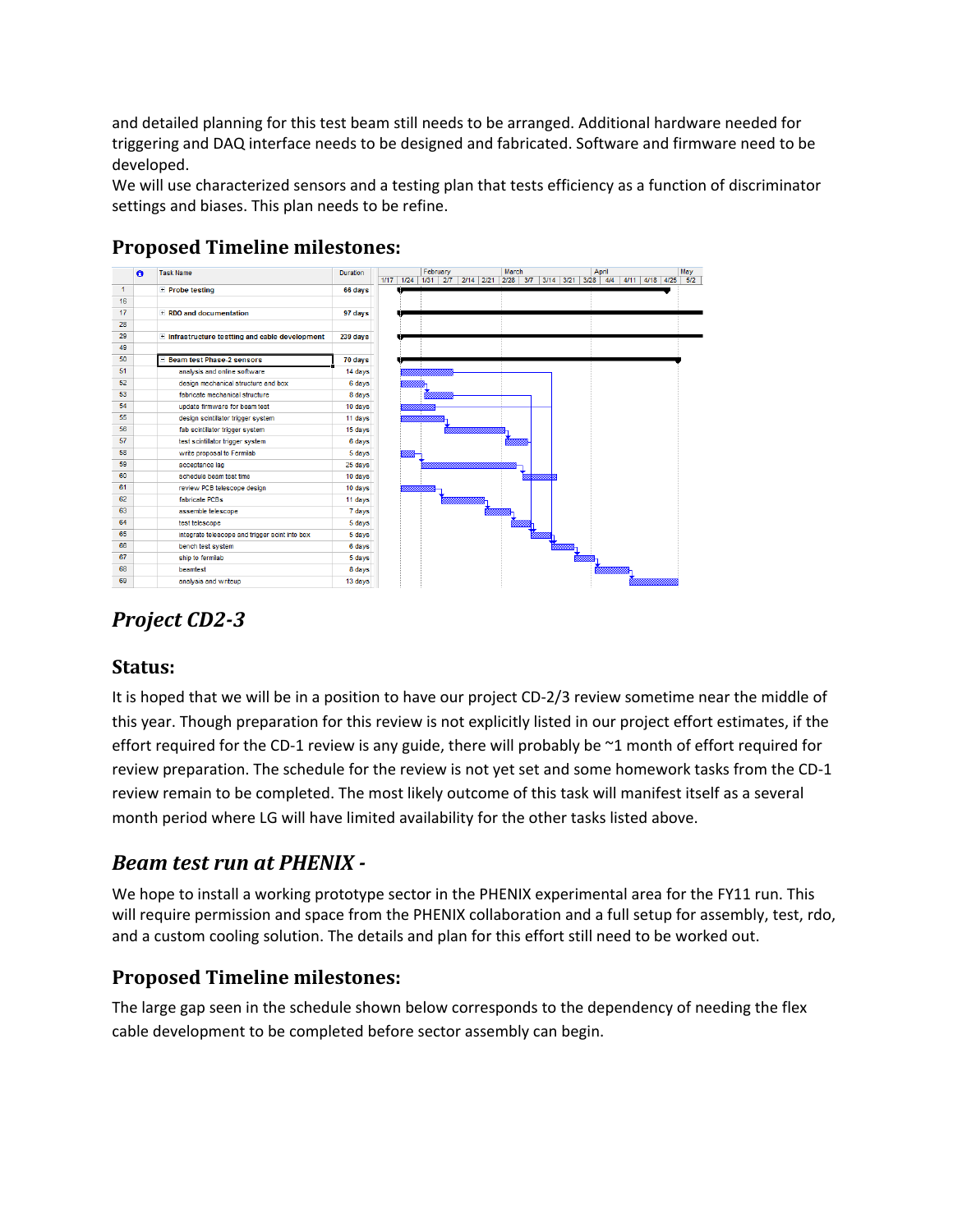and detailed planning for this test beam still needs to be arranged. Additional hardware needed for triggering and DAQ interface needs to be designed and fabricated. Software and firmware need to be developed.

We will use characterized sensors and a testing plan that tests efficiency as a function of discriminator settings and biases. This plan needs to be refine.



### **Proposed Timeline milestones:**

# *Project CD2‐3*

#### **Status:**

It is hoped that we will be in a position to have our project CD-2/3 review sometime near the middle of this year. Though preparation for this review is not explicitly listed in our project effort estimates, if the effort required for the CD-1 review is any guide, there will probably be  $\sim$ 1 month of effort required for review preparation. The schedule for the review is not yet set and some homework tasks from the CD‐1 review remain to be completed. The most likely outcome of this task will manifest itself as a several month period where LG will have limited availability for the other tasks listed above.

## *Beam test run at PHENIX ‐*

We hope to install a working prototype sector in the PHENIX experimental area for the FY11 run. This will require permission and space from the PHENIX collaboration and a full setup for assembly, test, rdo, and a custom cooling solution. The details and plan for this effort still need to be worked out.

### **Proposed Timeline milestones:**

The large gap seen in the schedule shown below corresponds to the dependency of needing the flex cable development to be completed before sector assembly can begin.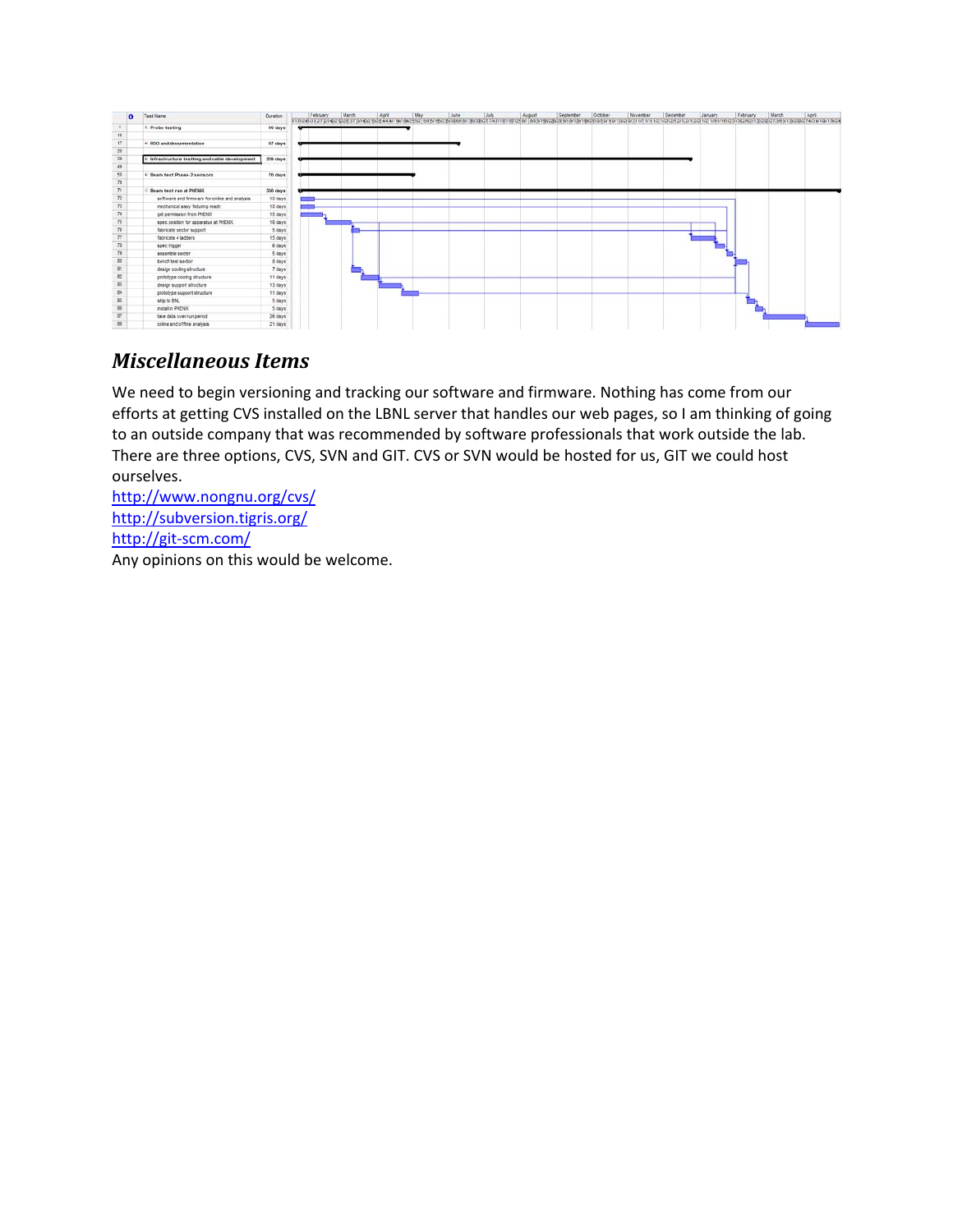

# *Miscellaneous Items*

We need to begin versioning and tracking our software and firmware. Nothing has come from our efforts at getting CVS installed on the LBNL server that handles our web pages, so I am thinking of going to an outside company that was recommended by software professionals that work outside the lab. There are three options, CVS, SVN and GIT. CVS or SVN would be hosted for us, GIT we could host ourselves.

http://www.nongnu.org/cvs/ http://subversion.tigris.org/ http://git‐scm.com/ Any opinions on this would be welcome.